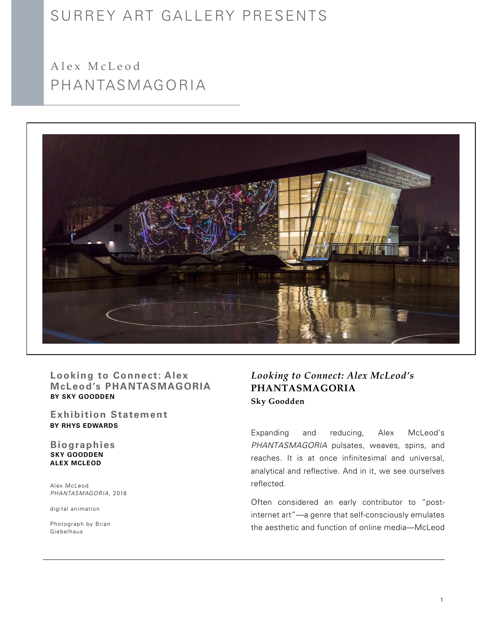# SURREY ART GALLERY PRESENTS

PHANTASMAGORIA Alex McLeod



**Looking to Connect: Alex McLeod's PHANTASMAGORIA BY SKY GOODDEN**

**BY Rhys Edwards Exhibition Statement**

**SKY GOODDEN Alex McLeod Biographies**

Alex McLeod *PHANTASMAGORIA*, 2018

digital animation

Photograph by Brian Giebelhaus

## *Looking to Connect: Alex McLeod's*  **PHANTASMAGORIA Sky Goodden**

Expanding and reducing, Alex McLeod's *PHANTASMAGORIA* pulsates, weaves, spins, and reaches. It is at once infinitesimal and universal, analytical and reflective. And in it, we see ourselves reflected.

Often considered an early contributor to "postinternet art"—a genre that self-consciously emulates the aesthetic and function of online media—McLeod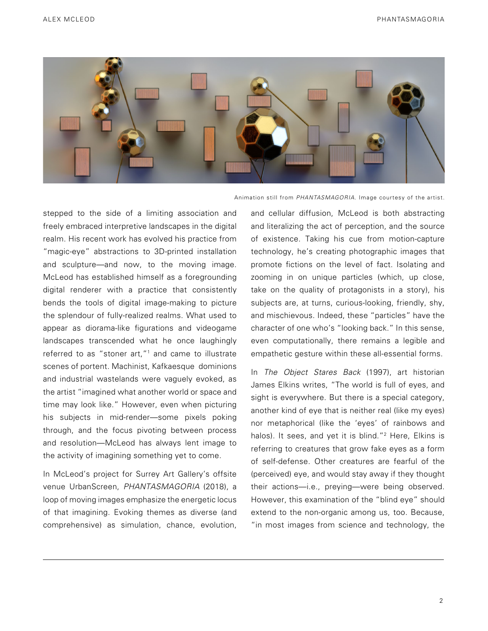

Animation still from *PHANTASMAGORIA*. Image courtesy of the artist.

stepped to the side of a limiting association and freely embraced interpretive landscapes in the digital realm. His recent work has evolved his practice from "magic-eye" abstractions to 3D-printed installation and sculpture—and now, to the moving image. McLeod has established himself as a foregrounding digital renderer with a practice that consistently bends the tools of digital image-making to picture the splendour of fully-realized realms. What used to appear as diorama-like figurations and videogame landscapes transcended what he once laughingly referred to as "stoner art,"1 and came to illustrate scenes of portent. Machinist, Kafkaesque dominions and industrial wastelands were vaguely evoked, as the artist "imagined what another world or space and time may look like." However, even when picturing his subjects in mid-render—some pixels poking through, and the focus pivoting between process and resolution—McLeod has always lent image to the activity of imagining something yet to come.

In McLeod's project for Surrey Art Gallery's offsite venue UrbanScreen, *PHANTASMAGORIA* (2018), a loop of moving images emphasize the energetic locus of that imagining. Evoking themes as diverse (and comprehensive) as simulation, chance, evolution,

and cellular diffusion, McLeod is both abstracting and literalizing the act of perception, and the source of existence. Taking his cue from motion-capture technology, he's creating photographic images that promote fictions on the level of fact. Isolating and zooming in on unique particles (which, up close, take on the quality of protagonists in a story), his subjects are, at turns, curious-looking, friendly, shy, and mischievous. Indeed, these "particles" have the character of one who's "looking back." In this sense, even computationally, there remains a legible and empathetic gesture within these all-essential forms.

In *The Object Stares Back* (1997), art historian James Elkins writes, "The world is full of eyes, and sight is everywhere. But there is a special category, another kind of eye that is neither real (like my eyes) nor metaphorical (like the 'eyes' of rainbows and halos). It sees, and yet it is blind."<sup>2</sup> Here, Elkins is referring to creatures that grow fake eyes as a form of self-defense. Other creatures are fearful of the (perceived) eye, and would stay away if they thought their actions—i.e., preying—were being observed. However, this examination of the "blind eye" should extend to the non-organic among us, too. Because, "in most images from science and technology, the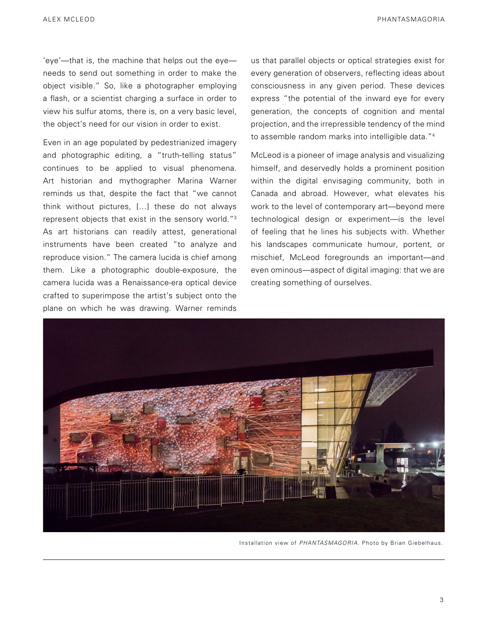ALEX MCLEOD PHANTASMAGORIA

'eye'—that is, the machine that helps out the eye needs to send out something in order to make the object visible." So, like a photographer employing a flash, or a scientist charging a surface in order to view his sulfur atoms, there is, on a very basic level, the object's need for our vision in order to exist.

Even in an age populated by pedestrianized imagery and photographic editing, a "truth-telling status" continues to be applied to visual phenomena. Art historian and mythographer Marina Warner reminds us that, despite the fact that "we cannot think without pictures, […] these do not always represent objects that exist in the sensory world."3 As art historians can readily attest, generational instruments have been created "to analyze and reproduce vision." The camera lucida is chief among them. Like a photographic double-exposure, the camera lucida was a Renaissance-era optical device crafted to superimpose the artist's subject onto the plane on which he was drawing. Warner reminds

us that parallel objects or optical strategies exist for every generation of observers, reflecting ideas about consciousness in any given period. These devices express "the potential of the inward eye for every generation, the concepts of cognition and mental projection, and the irrepressible tendency of the mind to assemble random marks into intelligible data."4

McLeod is a pioneer of image analysis and visualizing himself, and deservedly holds a prominent position within the digital envisaging community, both in Canada and abroad. However, what elevates his work to the level of contemporary art—beyond mere technological design or experiment—is the level of feeling that he lines his subjects with. Whether his landscapes communicate humour, portent, or mischief, McLeod foregrounds an important—and even ominous—aspect of digital imaging: that we are creating something of ourselves.



Installation view of *PHANTASMAGORIA.* Photo by Brian Giebelhaus.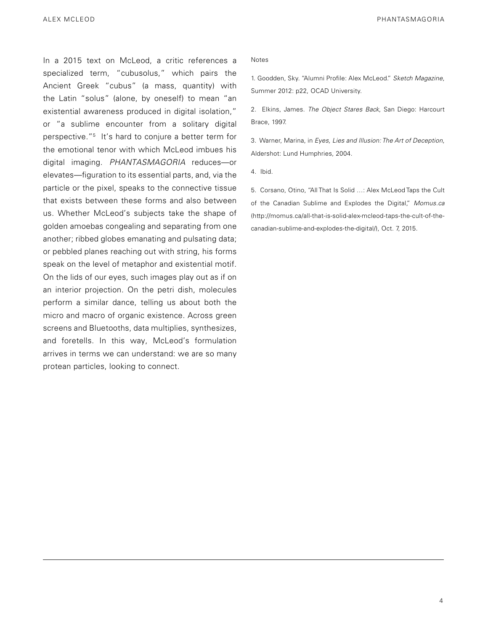In a 2015 text on McLeod, a critic references a specialized term, "cubusolus," which pairs the Ancient Greek "cubus" (a mass, quantity) with the Latin "solus" (alone, by oneself) to mean "an existential awareness produced in digital isolation," or "a sublime encounter from a solitary digital perspective."5 It's hard to conjure a better term for the emotional tenor with which McLeod imbues his digital imaging. *PHANTASMAGORIA* reduces—or elevates—figuration to its essential parts, and, via the particle or the pixel, speaks to the connective tissue that exists between these forms and also between us. Whether McLeod's subjects take the shape of golden amoebas congealing and separating from one another; ribbed globes emanating and pulsating data; or pebbled planes reaching out with string, his forms speak on the level of metaphor and existential motif. On the lids of our eyes, such images play out as if on an interior projection. On the petri dish, molecules perform a similar dance, telling us about both the micro and macro of organic existence. Across green screens and Bluetooths, data multiplies, synthesizes, and foretells. In this way, McLeod's formulation arrives in terms we can understand: we are so many protean particles, looking to connect.

#### Notes

1. Goodden, Sky. "Alumni Profile: Alex McLeod." *Sketch Magazine*, Summer 2012: p22, OCAD University.

2. Elkins, James. *The Object Stares Back*, San Diego: Harcourt Brace, 1997.

3. Warner, Marina, in *Eyes, Lies and Illusion: The Art of Deception*, Aldershot: Lund Humphries, 2004.

4. Ibid.

5. Corsano, Otino, "All That Is Solid …: Alex McLeod Taps the Cult of the Canadian Sublime and Explodes the Digital," *Momus.ca*  (http://momus.ca/all-that-is-solid-alex-mcleod-taps-the-cult-of-thecanadian-sublime-and-explodes-the-digital/), Oct. 7, 2015.

4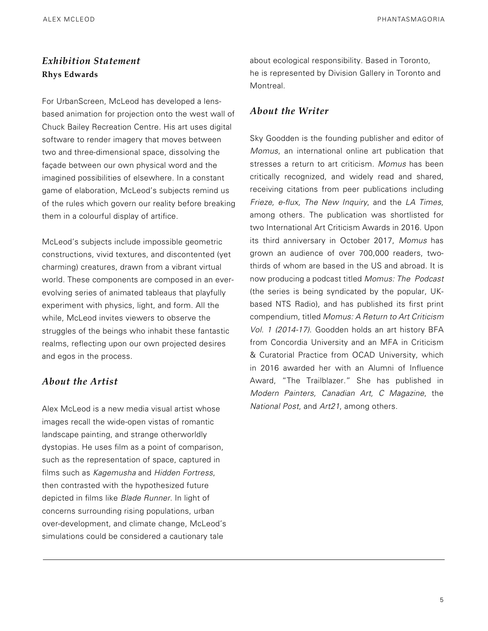#### ALEX MCLEOD PHANTASMAGORIA

## *Exhibition Statement* **Rhys Edwards**

For UrbanScreen, McLeod has developed a lensbased animation for projection onto the west wall of Chuck Bailey Recreation Centre. His art uses digital software to render imagery that moves between two and three-dimensional space, dissolving the façade between our own physical word and the imagined possibilities of elsewhere. In a constant game of elaboration, McLeod's subjects remind us of the rules which govern our reality before breaking them in a colourful display of artifice.

McLeod's subjects include impossible geometric constructions, vivid textures, and discontented (yet charming) creatures, drawn from a vibrant virtual world. These components are composed in an everevolving series of animated tableaus that playfully experiment with physics, light, and form. All the while, McLeod invites viewers to observe the struggles of the beings who inhabit these fantastic realms, reflecting upon our own projected desires and egos in the process.

### *About the Artist*

Alex McLeod is a new media visual artist whose images recall the wide-open vistas of romantic landscape painting, and strange otherworldly dystopias. He uses film as a point of comparison, such as the representation of space, captured in films such as *Kagemusha* and *Hidden Fortress*, then contrasted with the hypothesized future depicted in films like *Blade Runner*. In light of concerns surrounding rising populations, urban over-development, and climate change, McLeod's simulations could be considered a cautionary tale

about ecological responsibility. Based in Toronto, he is represented by Division Gallery in Toronto and **Montreal** 

### *About the Writer*

Sky Goodden is the founding publisher and editor of *Momus*, an international online art publication that stresses a return to art criticism. *Momus* has been critically recognized, and widely read and shared, receiving citations from peer publications including *Frieze, e-flux, The New Inquiry*, and the *LA Times*, among others. The publication was shortlisted for two International Art Criticism Awards in 2016. Upon its third anniversary in October 2017, *Momus* has grown an audience of over 700,000 readers, twothirds of whom are based in the US and abroad. It is now producing a podcast titled *Momus: The Podcast*  (the series is being syndicated by the popular, UKbased NTS Radio), and has published its first print compendium, titled *Momus: A Return to Art Criticism Vol. 1 (2014-17)*. Goodden holds an art history BFA from Concordia University and an MFA in Criticism & Curatorial Practice from OCAD University, which in 2016 awarded her with an Alumni of Influence Award, "The Trailblazer." She has published in *Modern Painters, Canadian Art, C Magazine*, the *National Post*, and *Art21*, among others.